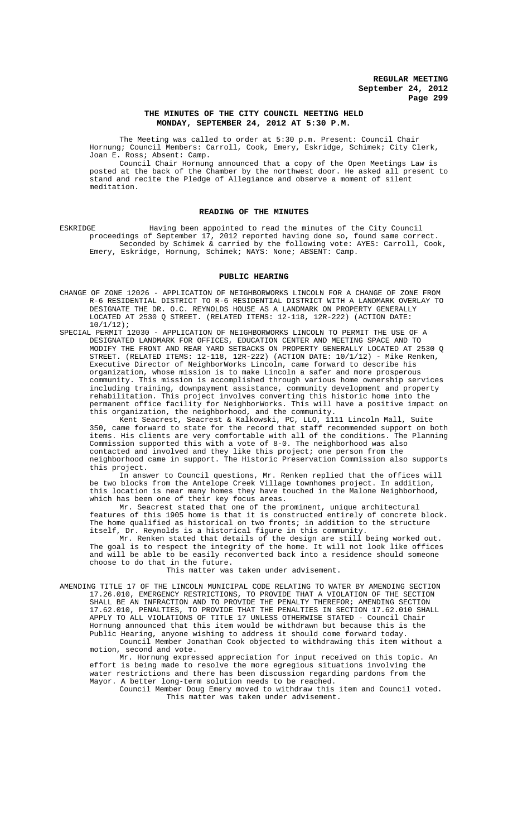## **THE MINUTES OF THE CITY COUNCIL MEETING HELD MONDAY, SEPTEMBER 24, 2012 AT 5:30 P.M.**

The Meeting was called to order at 5:30 p.m. Present: Council Chair Hornung; Council Members: Carroll, Cook, Emery, Eskridge, Schimek; City Clerk, Joan E. Ross; Absent: Camp.

Council Chair Hornung announced that a copy of the Open Meetings Law is posted at the back of the Chamber by the northwest door. He asked all present to stand and recite the Pledge of Allegiance and observe a moment of silent meditation.

## **READING OF THE MINUTES**

ESKRIDGE Having been appointed to read the minutes of the City Council proceedings of September 17, 2012 reported having done so, found same correct. Seconded by Schimek & carried by the following vote: AYES: Carroll, Cook, Emery, Eskridge, Hornung, Schimek; NAYS: None; ABSENT: Camp.

## **PUBLIC HEARING**

- CHANGE OF ZONE 12026 APPLICATION OF NEIGHBORWORKS LINCOLN FOR A CHANGE OF ZONE FROM R-6 RESIDENTIAL DISTRICT TO R-6 RESIDENTIAL DISTRICT WITH A LANDMARK OVERLAY TO DESIGNATE THE DR. O.C. REYNOLDS HOUSE AS A LANDMARK ON PROPERTY GENERALLY LOCATED AT 2530 Q STREET. (RELATED ITEMS: 12-118, 12R-222) (ACTION DATE:  $10/1/12$ ;
- SPECIAL PERMIT 12030 APPLICATION OF NEIGHBORWORKS LINCOLN TO PERMIT THE USE OF A DESIGNATED LANDMARK FOR OFFICES, EDUCATION CENTER AND MEETING SPACE AND TO MODIFY THE FRONT AND REAR YARD SETBACKS ON PROPERTY GENERALLY LOCATED AT 2530 Q STREET. (RELATED ITEMS: 12-118, 12R-222) (ACTION DATE: 10/1/12) - Mike Renken, Executive Director of NeighborWorks Lincoln, came forward to describe his organization, whose mission is to make Lincoln a safer and more prosperous community. This mission is accomplished through various home ownership services including training, downpayment assistance, community development and property rehabilitation. This project involves converting this historic home into the permanent office facility for NeighborWorks. This will have a positive impact on this organization, the neighborhood, and the community.

Kent Seacrest, Seacrest & Kalkowski, PC, LLO, 1111 Lincoln Mall, Suite 350, came forward to state for the record that staff recommended support on both items. His clients are very comfortable with all of the conditions. The Planning Commission supported this with a vote of 8-0. The neighborhood was also contacted and involved and they like this project; one person from the neighborhood came in support. The Historic Preservation Commission also supports this project.

In answer to Council questions, Mr. Renken replied that the offices will be two blocks from the Antelope Creek Village townhomes project. In addition, this location is near many homes they have touched in the Malone Neighborhood, which has been one of their key focus areas.

Mr. Seacrest stated that one of the prominent, unique architectural features of this 1905 home is that it is constructed entirely of concrete block. The home qualified as historical on two fronts; in addition to the structure itself, Dr. Reynolds is a historical figure in this community.

Mr. Renken stated that details of the design are still being worked out. The goal is to respect the integrity of the home. It will not look like offices and will be able to be easily reconverted back into a residence should someone choose to do that in the future.

This matter was taken under advisement.

AMENDING TITLE 17 OF THE LINCOLN MUNICIPAL CODE RELATING TO WATER BY AMENDING SECTION 17.26.010, EMERGENCY RESTRICTIONS, TO PROVIDE THAT A VIOLATION OF THE SECTION SHALL BE AN INFRACTION AND TO PROVIDE THE PENALTY THEREFOR; AMENDING SECTION 17.62.010, PENALTIES, TO PROVIDE THAT THE PENALTIES IN SECTION 17.62.010 SHALL APPLY TO ALL VIOLATIONS OF TITLE 17 UNLESS OTHERWISE STATED - Council Chair Hornung announced that this item would be withdrawn but because this is the Public Hearing, anyone wishing to address it should come forward today. Council Member Jonathan Cook objected to withdrawing this item without a motion, second and vote.

Mr. Hornung expressed appreciation for input received on this topic. An effort is being made to resolve the more egregious situations involving the water restrictions and there has been discussion regarding pardons from the Mayor. A better long-term solution needs to be reached.

Council Member Doug Emery moved to withdraw this item and Council voted. This matter was taken under advisement.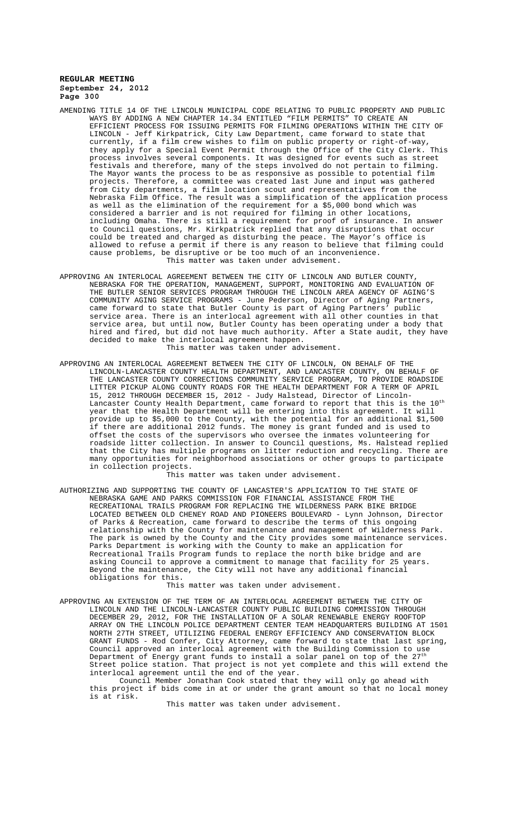- AMENDING TITLE 14 OF THE LINCOLN MUNICIPAL CODE RELATING TO PUBLIC PROPERTY AND PUBLIC WAYS BY ADDING A NEW CHAPTER 14.34 ENTITLED "FILM PERMITS" TO CREATE AN EFFICIENT PROCESS FOR ISSUING PERMITS FOR FILMING OPERATIONS WITHIN THE CITY OF LINCOLN - Jeff Kirkpatrick, City Law Department, came forward to state that currently, if a film crew wishes to film on public property or right-of-way, they apply for a Special Event Permit through the Office of the City Clerk. This process involves several components. It was designed for events such as street festivals and therefore, many of the steps involved do not pertain to filming. The Mayor wants the process to be as responsive as possible to potential film projects. Therefore, a committee was created last June and input was gathered from City departments, a film location scout and representatives from the Nebraska Film Office. The result was a simplification of the application process as well as the elimination of the requirement for a \$5,000 bond which was considered a barrier and is not required for filming in other locations, including Omaha. There is still a requirement for proof of insurance. In answer to Council questions, Mr. Kirkpatrick replied that any disruptions that occur could be treated and charged as disturbing the peace. The Mayor's office is<br>allowed to refuse a permit if there is any reason to believe that filming could allowed to refuse a permit if there is any reason to believe cause problems, be disruptive or be too much of an inconvenience. This matter was taken under advisement.
- APPROVING AN INTERLOCAL AGREEMENT BETWEEN THE CITY OF LINCOLN AND BUTLER COUNTY, NEBRASKA FOR THE OPERATION, MANAGEMENT, SUPPORT, MONITORING AND EVALUATION OF THE BUTLER SENIOR SERVICES PROGRAM THROUGH THE LINCOLN AREA AGENCY OF AGING'S COMMUNITY AGING SERVICE PROGRAMS - June Pederson, Director of Aging Partners, came forward to state that Butler County is part of Aging Partners' public service area. There is an interlocal agreement with all other counties in that service area, but until now, Butler County has been operating under a body that hired and fired, but did not have much authority. After a State audit, they have decided to make the interlocal agreement happen. This matter was taken under advisement.
- APPROVING AN INTERLOCAL AGREEMENT BETWEEN THE CITY OF LINCOLN, ON BEHALF OF THE LINCOLN-LANCASTER COUNTY HEALTH DEPARTMENT, AND LANCASTER COUNTY, ON BEHALF OF THE LANCASTER COUNTY CORRECTIONS COMMUNITY SERVICE PROGRAM, TO PROVIDE ROADSIDE LITTER PICKUP ALONG COUNTY ROADS FOR THE HEALTH DEPARTMENT FOR A TERM OF APRIL 15, 2012 THROUGH DECEMBER 15, 2012 - Judy Halstead, Director of Lincoln-Lancaster County Health Department, came forward to report that this is the  $10^{\rm th}$ year that the Health Department will be entering into this agreement. It will provide up to \$5,000 to the County, with the potential for an additional \$1,500 if there are additional 2012 funds. The money is grant funded and is used to offset the costs of the supervisors who oversee the inmates volunteering for roadside litter collection. In answer to Council questions, Ms. Halstead replied that the City has multiple programs on litter reduction and recycling. There are many opportunities for neighborhood associations or other groups to participate in collection projects.

This matter was taken under advisement.

AUTHORIZING AND SUPPORTING THE COUNTY OF LANCASTER'S APPLICATION TO THE STATE OF NEBRASKA GAME AND PARKS COMMISSION FOR FINANCIAL ASSISTANCE FROM THE RECREATIONAL TRAILS PROGRAM FOR REPLACING THE WILDERNESS PARK BIKE BRIDGE LOCATED BETWEEN OLD CHENEY ROAD AND PIONEERS BOULEVARD - Lynn Johnson, Director of Parks & Recreation, came forward to describe the terms of this ongoing relationship with the County for maintenance and management of Wilderness Park. The park is owned by the County and the City provides some maintenance services. Parks Department is working with the County to make an application for Recreational Trails Program funds to replace the north bike bridge and are asking Council to approve a commitment to manage that facility for 25 years. Beyond the maintenance, the City will not have any additional financial obligations for this.

This matter was taken under advisement.

APPROVING AN EXTENSION OF THE TERM OF AN INTERLOCAL AGREEMENT BETWEEN THE CITY OF LINCOLN AND THE LINCOLN-LANCASTER COUNTY PUBLIC BUILDING COMMISSION THROUGH DECEMBER 29, 2012, FOR THE INSTALLATION OF A SOLAR RENEWABLE ENERGY ROOFTOP ARRAY ON THE LINCOLN POLICE DEPARTMENT CENTER TEAM HEADQUARTERS BUILDING AT 1501 NORTH 27TH STREET, UTILIZING FEDERAL ENERGY EFFICIENCY AND CONSERVATION BLOCK GRANT FUNDS - Rod Confer, City Attorney, came forward to state that last spring, Council approved an interlocal agreement with the Building Commission to use Department of Energy grant funds to install a solar panel on top of the  $27^{\rm th}$ Street police station. That project is not yet complete and this will extend the interlocal agreement until the end of the year.

Council Member Jonathan Cook stated that they will only go ahead with this project if bids come in at or under the grant amount so that no local money is at risk.

This matter was taken under advisement.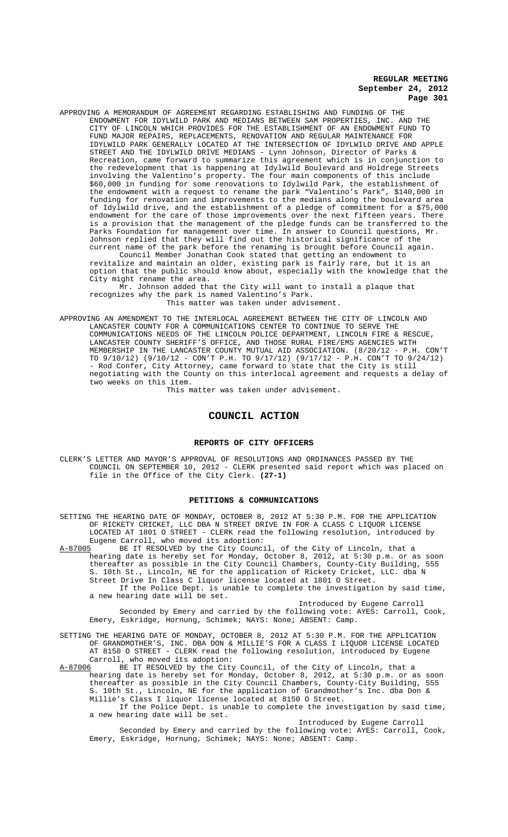APPROVING A MEMORANDUM OF AGREEMENT REGARDING ESTABLISHING AND FUNDING OF THE ENDOWMENT FOR IDYLWILD PARK AND MEDIANS BETWEEN SAM PROPERTIES, INC. AND THE CITY OF LINCOLN WHICH PROVIDES FOR THE ESTABLISHMENT OF AN ENDOWMENT FUND TO FUND MAJOR REPAIRS, REPLACEMENTS, RENOVATION AND REGULAR MAINTENANCE FOR IDYLWILD PARK GENERALLY LOCATED AT THE INTERSECTION OF IDYLWILD DRIVE AND APPLE STREET AND THE IDYLWILD DRIVE MEDIANS - Lynn Johnson, Director of Parks & Recreation, came forward to summarize this agreement which is in conjunction to the redevelopment that is happening at Idylwild Boulevard and Holdrege Streets involving the Valentino's property. The four main components of this include \$60,000 in funding for some renovations to Idylwild Park, the establishment of the endowment with a request to rename the park "Valentino's Park", \$140,000 in funding for renovation and improvements to the medians along the boulevard area of Idylwild drive, and the establishment of a pledge of commitment for a \$75,000 endowment for the care of those improvements over the next fifteen years. There is a provision that the management of the pledge funds can be transferred to the Parks Foundation for management over time. In answer to Council questions, Mr. Johnson replied that they will find out the historical significance of the current name of the park before the renaming is brought before Council again.

Council Member Jonathan Cook stated that getting an endowment to revitalize and maintain an older, existing park is fairly rare, but it is an option that the public should know about, especially with the knowledge that the City might rename the area.

Mr. Johnson added that the City will want to install a plaque that recognizes why the park is named Valentino's Park. This matter was taken under advisement.

APPROVING AN AMENDMENT TO THE INTERLOCAL AGREEMENT BETWEEN THE CITY OF LINCOLN AND LANCASTER COUNTY FOR A COMMUNICATIONS CENTER TO CONTINUE TO SERVE THE COMMUNICATIONS NEEDS OF THE LINCOLN POLICE DEPARTMENT, LINCOLN FIRE & RESCUE, LANCASTER COUNTY SHERIFF'S OFFICE, AND THOSE RURAL FIRE/EMS AGENCIES WITH MEMBERSHIP IN THE LANCASTER COUNTY MUTUAL AID ASSOCIATION. (8/20/12 - P.H. CON'T TO 9/10/12) (9/10/12 - CON'T P.H. TO 9/17/12) (9/17/12 - P.H. CON'T TO 9/24/12) - Rod Confer, City Attorney, came forward to state that the City is still negotiating with the County on this interlocal agreement and requests a delay of two weeks on this item.

This matter was taken under advisement.

# **COUNCIL ACTION**

#### **REPORTS OF CITY OFFICERS**

CLERK'S LETTER AND MAYOR'S APPROVAL OF RESOLUTIONS AND ORDINANCES PASSED BY THE COUNCIL ON SEPTEMBER 10, 2012 - CLERK presented said report which was placed on file in the Office of the City Clerk. **(27-1)**

## **PETITIONS & COMMUNICATIONS**

SETTING THE HEARING DATE OF MONDAY, OCTOBER 8, 2012 AT 5:30 P.M. FOR THE APPLICATION OF RICKETY CRICKET, LLC DBA N STREET DRIVE IN FOR A CLASS C LIQUOR LICENSE LOCATED AT 1801 O STREET - CLERK read the following resolution, introduced by Eugene Carroll, who moved its adoption:<br>A-87005 BE IT RESOLVED by the City Counci

A-87005 BE IT RESOLVED by the City Council, of the City of Lincoln, that a hearing date is hereby set for Monday, October 8, 2012, at 5:30 p.m. or as soon thereafter as possible in the City Council Chambers, County-City Building, 555 S. 10th St., Lincoln, NE for the application of Rickety Cricket, LLC. dba N Street Drive In Class C liquor license located at 1801 O Street. If the Police Dept. is unable to complete the investigation by said time,

a new hearing date will be set. Introduced by Eugene Carroll

Seconded by Emery and carried by the following vote: AYES: Carroll, Cook, Emery, Eskridge, Hornung, Schimek; NAYS: None; ABSENT: Camp.

SETTING THE HEARING DATE OF MONDAY, OCTOBER 8, 2012 AT 5:30 P.M. FOR THE APPLICATION OF GRANDMOTHER'S, INC. DBA DON & MILLIE'S FOR A CLASS I LIQUOR LICENSE LOCATED AT 8150 O STREET - CLERK read the following resolution, introduced by Eugene Carroll, who moved its adoption:

A-87006 BE IT RESOLVED by the City Council, of the City of Lincoln, that a hearing date is hereby set for Monday, October 8, 2012, at 5:30 p.m. or as soon thereafter as possible in the City Council Chambers, County-City Building, 555 10th St., Lincoln, NE for the application of Grandmother's Inc. dba Don & Millie's Class I liquor license located at 8150 O Street.

If the Police Dept. is unable to complete the investigation by said time, a new hearing date will be set.

Introduced by Eugene Carroll Seconded by Emery and carried by the following vote: AYES: Carroll, Cook, Emery, Eskridge, Hornung, Schimek; NAYS: None; ABSENT: Camp.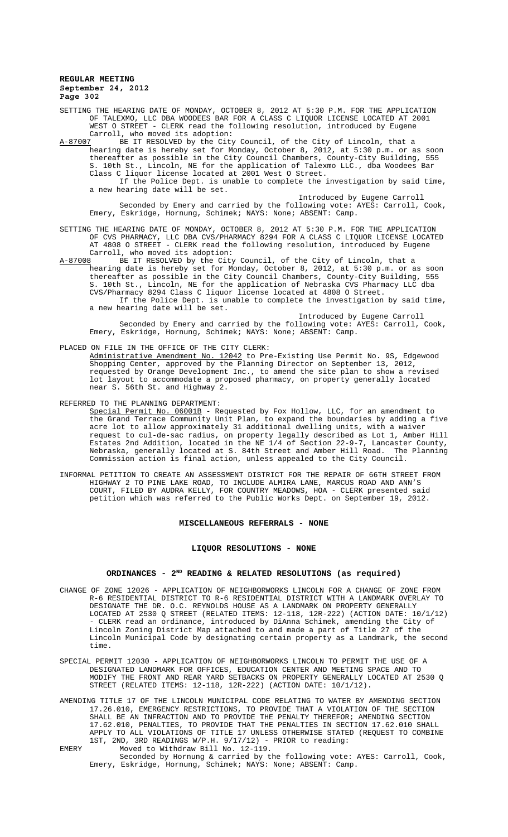SETTING THE HEARING DATE OF MONDAY, OCTOBER 8, 2012 AT 5:30 P.M. FOR THE APPLICATION OF TALEXMO, LLC DBA WOODEES BAR FOR A CLASS C LIQUOR LICENSE LOCATED AT 2001 WEST O STREET - CLERK read the following resolution, introduced by Eugene Carroll, who moved its adoption:<br>A-87007 BE IT RESOLVED by the City

BE IT RESOLVED by the City Council, of the City of Lincoln, that a hearing date is hereby set for Monday, October 8, 2012, at 5:30 p.m. or as soon thereafter as possible in the City Council Chambers, County-City Building, 555 S. 10th St., Lincoln, NE for the application of Talexmo LLC., dba Woodees Bar Class C liquor license located at 2001 West O Street. If the Police Dept. is unable to complete the investigation by said time, a new hearing date will be set.

Introduced by Eugene Carroll Seconded by Emery and carried by the following vote: AYES: Carroll, Cook, Emery, Eskridge, Hornung, Schimek; NAYS: None; ABSENT: Camp.

# SETTING THE HEARING DATE OF MONDAY, OCTOBER 8, 2012 AT 5:30 P.M. FOR THE APPLICATION OF CVS PHARMACY, LLC DBA CVS/PHARMACY 8294 FOR A CLASS C LIQUOR LICENSE LOCATED AT 4808 O STREET - CLERK read the following resolution, introduced by Eugene Carroll, who moved its adoption:<br>A-87008 BE IT RESOLVED by the City

A-87008 BE IT RESOLVED by the City Council, of the City of Lincoln, that a hearing date is hereby set for Monday, October 8, 2012, at 5:30 p.m. or as soon thereafter as possible in the City Council Chambers, County-City Building, 555 S. 10th St., Lincoln, NE for the application of Nebraska CVS Pharmacy LLC dba CVS/Pharmacy 8294 Class C liquor license located at 4808 O Street.

If the Police Dept. is unable to complete the investigation by said time, a new hearing date will be set.

Introduced by Eugene Carroll Seconded by Emery and carried by the following vote: AYES: Carroll, Cook, Emery, Eskridge, Hornung, Schimek; NAYS: None; ABSENT: Camp.

PLACED ON FILE IN THE OFFICE OF THE CITY CLERK:

Administrative Amendment No. 12042 to Pre-Existing Use Permit No. 9S, Edgewood Shopping Center, approved by the Planning Director on September 13, 2012, requested by Orange Development Inc., to amend the site plan to show a revised lot layout to accommodate a proposed pharmacy, on property generally located near S. 56th St. and Highway 2.

REFERRED TO THE PLANNING DEPARTMENT:

Special Permit No. 06001B - Requested by Fox Hollow, LLC, for an amendment to the Grand Terrace Community Unit Plan, to expand the boundaries by adding a five acre lot to allow approximately 31 additional dwelling units, with a waiver request to cul-de-sac radius, on property legally described as Lot 1, Amber Hill Estates 2nd Addition, located in the NE 1/4 of Section 22-9-7, Lancaster County, Nebraska, generally located at S. 84th Street and Amber Hill Road. The Planning Commission action is final action, unless appealed to the City Council.

INFORMAL PETITION TO CREATE AN ASSESSMENT DISTRICT FOR THE REPAIR OF 66TH STREET FROM HIGHWAY 2 TO PINE LAKE ROAD, TO INCLUDE ALMIRA LANE, MARCUS ROAD AND ANN'S COURT, FILED BY AUDRA KELLY, FOR COUNTRY MEADOWS, HOA - CLERK presented said petition which was referred to the Public Works Dept. on September 19, 2012.

## **MISCELLANEOUS REFERRALS - NONE**

#### **LIQUOR RESOLUTIONS - NONE**

## ORDINANCES - 2<sup>ND</sup> READING & RELATED RESOLUTIONS (as required)

- CHANGE OF ZONE 12026 APPLICATION OF NEIGHBORWORKS LINCOLN FOR A CHANGE OF ZONE FROM R-6 RESIDENTIAL DISTRICT TO R-6 RESIDENTIAL DISTRICT WITH A LANDMARK OVERLAY TO DESIGNATE THE DR. O.C. REYNOLDS HOUSE AS A LANDMARK ON PROPERTY GENERALLY LOCATED AT 2530 Q STREET (RELATED ITEMS: 12-118, 12R-222) (ACTION DATE: 10/1/12) - CLERK read an ordinance, introduced by DiAnna Schimek, amending the City of Lincoln Zoning District Map attached to and made a part of Title 27 of the Lincoln Municipal Code by designating certain property as a Landmark, the second time.
- SPECIAL PERMIT 12030 APPLICATION OF NEIGHBORWORKS LINCOLN TO PERMIT THE USE OF A DESIGNATED LANDMARK FOR OFFICES, EDUCATION CENTER AND MEETING SPACE AND TO MODIFY THE FRONT AND REAR YARD SETBACKS ON PROPERTY GENERALLY LOCATED AT 2530 Q STREET (RELATED ITEMS: 12-118, 12R-222) (ACTION DATE: 10/1/12).
- AMENDING TITLE 17 OF THE LINCOLN MUNICIPAL CODE RELATING TO WATER BY AMENDING SECTION 17.26.010, EMERGENCY RESTRICTIONS, TO PROVIDE THAT A VIOLATION OF THE SECTION SHALL BE AN INFRACTION AND TO PROVIDE THE PENALTY THEREFOR; AMENDING SECTION 17.62.010, PENALTIES, TO PROVIDE THAT THE PENALTIES IN SECTION 17.62.010 SHALL APPLY TO ALL VIOLATIONS OF TITLE 17 UNLESS OTHERWISE STATED (REQUEST TO COMBINE 1ST, 2ND, 3RD READINGS W/P.H. 9/17/12) - PRIOR to reading:
- EMERY Moved to Withdraw Bill No. 12-119. Seconded by Hornung & carried by the following vote: AYES: Carroll, Cook, Emery, Eskridge, Hornung, Schimek; NAYS: None; ABSENT: Camp.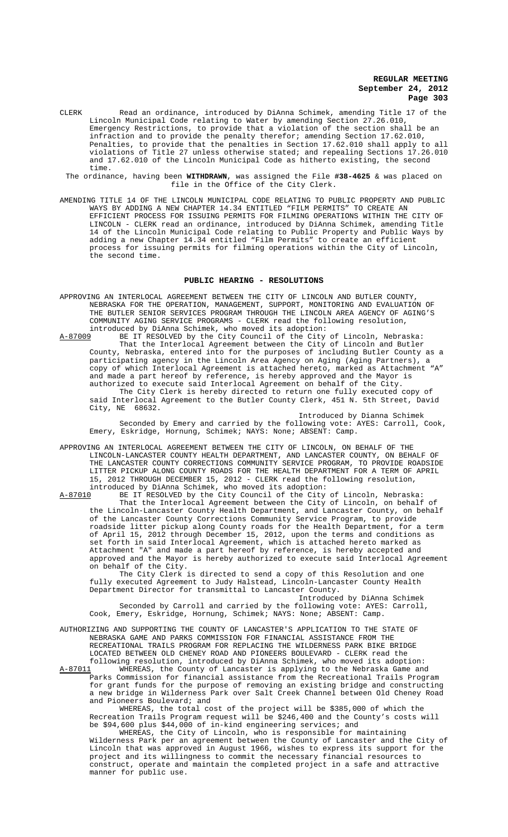- CLERK Read an ordinance, introduced by DiAnna Schimek, amending Title 17 of the Lincoln Municipal Code relating to Water by amending Section 27.26.010, Emergency Restrictions, to provide that a violation of the section shall be an infraction and to provide the penalty therefor; amending Section 17.62.010, Penalties, to provide that the penalties in Section 17.62.010 shall apply to all violations of Title 27 unless otherwise stated; and repealing Sections 17.26.010 and 17.62.010 of the Lincoln Municipal Code as hitherto existing, the second time.
- The ordinance, having been **WITHDRAWN**, was assigned the File **#38-4625** & was placed on file in the Office of the City Clerk.
- AMENDING TITLE 14 OF THE LINCOLN MUNICIPAL CODE RELATING TO PUBLIC PROPERTY AND PUBLIC WAYS BY ADDING A NEW CHAPTER 14.34 ENTITLED "FILM PERMITS" TO CREATE AN EFFICIENT PROCESS FOR ISSUING PERMITS FOR FILMING OPERATIONS WITHIN THE CITY OF LINCOLN - CLERK read an ordinance, introduced by DiAnna Schimek, amending Title 14 of the Lincoln Municipal Code relating to Public Property and Public Ways by adding a new Chapter 14.34 entitled "Film Permits" to create an efficient process for issuing permits for filming operations within the City of Lincoln, the second time.

#### **PUBLIC HEARING - RESOLUTIONS**

- APPROVING AN INTERLOCAL AGREEMENT BETWEEN THE CITY OF LINCOLN AND BUTLER COUNTY, NEBRASKA FOR THE OPERATION, MANAGEMENT, SUPPORT, MONITORING AND EVALUATION OF THE BUTLER SENIOR SERVICES PROGRAM THROUGH THE LINCOLN AREA AGENCY OF AGING'S COMMUNITY AGING SERVICE PROGRAMS - CLERK read the following resolution, introduced by DiAnna Schimek, who moved its adoption:
- A-87009 BE IT RESOLVED by the City Council of the City of Lincoln, Nebraska: That the Interlocal Agreement between the City of Lincoln and Butler County, Nebraska, entered into for the purposes of including Butler County as a participating agency in the Lincoln Area Agency on Aging (Aging Partners), a<br>copy of which Interlocal Agreement is attached hereto, marked as Attachment "A" copy of which Interlocal Agreement is attached hereto, marked as Attachment and made a part hereof by reference, is hereby approved and the Mayor is authorized to execute said Interlocal Agreement on behalf of the City. The City Clerk is hereby directed to return one fully executed copy of said Interlocal Agreement to the Butler County Clerk, 451 N. 5th Street, David City, NE 68632.

Introduced by Dianna Schimek Seconded by Emery and carried by the following vote: AYES: Carroll, Cook, Emery, Eskridge, Hornung, Schimek; NAYS: None; ABSENT: Camp.

APPROVING AN INTERLOCAL AGREEMENT BETWEEN THE CITY OF LINCOLN, ON BEHALF OF THE LINCOLN-LANCASTER COUNTY HEALTH DEPARTMENT, AND LANCASTER COUNTY, ON BEHALF OF THE LANCASTER COUNTY CORRECTIONS COMMUNITY SERVICE PROGRAM, TO PROVIDE ROADSIDE LITTER PICKUP ALONG COUNTY ROADS FOR THE HEALTH DEPARTMENT FOR A TERM OF APRIL 15, 2012 THROUGH DECEMBER 15, 2012 - CLERK read the following resolution, introduced by DiAnna Schimek, who moved its adoption:<br>A-87010 BE IT RESOLVED by the City Council of the City

BE IT RESOLVED by the City Council of the City of Lincoln, Nebraska: That the Interlocal Agreement between the City of Lincoln, on behalf of the Lincoln-Lancaster County Health Department, and Lancaster County, on behalf of the Lancaster County Corrections Community Service Program, to provide roadside litter pickup along County roads for the Health Department, for a term of April 15, 2012 through December 15, 2012, upon the terms and conditions as set forth in said Interlocal Agreement, which is attached hereto marked as Attachment "A" and made a part hereof by reference, is hereby accepted and approved and the Mayor is hereby authorized to execute said Interlocal Agreement on behalf of the City.

The City Clerk is directed to send a copy of this Resolution and one fully executed Agreement to Judy Halstead, Lincoln-Lancaster County Health Department Director for transmittal to Lancaster County.

Introduced by DiAnna Schimek

Seconded by Carroll and carried by the following vote: AYES: Carroll, Cook, Emery, Eskridge, Hornung, Schimek; NAYS: None; ABSENT: Camp.

AUTHORIZING AND SUPPORTING THE COUNTY OF LANCASTER'S APPLICATION TO THE STATE OF NEBRASKA GAME AND PARKS COMMISSION FOR FINANCIAL ASSISTANCE FROM THE RECREATIONAL TRAILS PROGRAM FOR REPLACING THE WILDERNESS PARK BIKE BRIDGE LOCATED BETWEEN OLD CHENEY ROAD AND PIONEERS BOULEVARD - CLERK read the following resolution, introduced by DiAnna Schimek, who moved its adoption:<br>A-87011 WHEREAS, the County of Lancaster is applying to the Nebraska Game an

WHEREAS, the County of Lancaster is applying to the Nebraska Game and Parks Commission for financial assistance from the Recreational Trails Program for grant funds for the purpose of removing an existing bridge and constructing a new bridge in Wilderness Park over Salt Creek Channel between Old Cheney Road and Pioneers Boulevard; and

WHEREAS, the total cost of the project will be \$385,000 of which the Recreation Trails Program request will be \$246,400 and the County's costs will be \$94,600 plus \$44,000 of in-kind engineering services; and

WHEREAS, the City of Lincoln, who is responsible for maintaining Wilderness Park per an agreement between the County of Lancaster and the City of Lincoln that was approved in August 1966, wishes to express its support for the project and its willingness to commit the necessary financial resources to construct, operate and maintain the completed project in a safe and attractive manner for public use.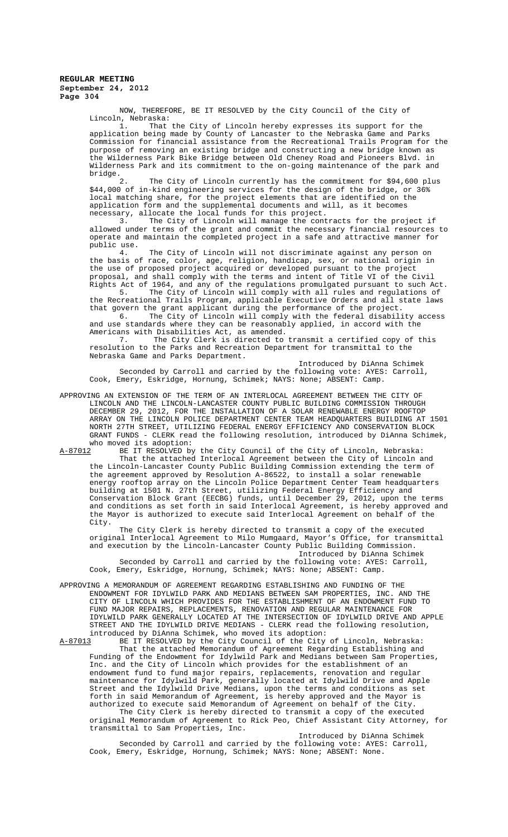NOW, THEREFORE, BE IT RESOLVED by the City Council of the City of Lincoln, Nebraska:<br>1. That

1. That the City of Lincoln hereby expresses its support for the application being made by County of Lancaster to the Nebraska Game and Parks Commission for financial assistance from the Recreational Trails Program for the purpose of removing an existing bridge and constructing a new bridge known as the Wilderness Park Bike Bridge between Old Cheney Road and Pioneers Blvd. in Wilderness Park and its commitment to the on-going maintenance of the park and bridge.

2. The City of Lincoln currently has the commitment for \$94,600 plus \$44,000 of in-kind engineering services for the design of the bridge, or 36% local matching share, for the project elements that are identified on the application form and the supplemental documents and will, as it becomes necessary, allocate the local funds for this project.

3. The City of Lincoln will manage the contracts for the project if allowed under terms of the grant and commit the necessary financial resources to operate and maintain the completed project in a safe and attractive manner for

public use.<br>4. The City of Lincoln will not discriminate against any person on the basis of race, color, age, religion, handicap, sex, or national origin in the use of proposed project acquired or developed pursuant to the project proposal, and shall comply with the terms and intent of Title VI of the Civil Rights Act of 1964, and any of the regulations promulgated pursuant to such Act.

5. The City of Lincoln will comply with all rules and regulations of the Recreational Trails Program, applicable Executive Orders and all state laws that govern the grant applicant during the performance of the project.

6. The City of Lincoln will comply with the federal disability access and use standards where they can be reasonably applied, in accord with the Americans with Disabilities Act, as amended.

7. The City Clerk is directed to transmit a certified copy of this resolution to the Parks and Recreation Department for transmittal to the Nebraska Game and Parks Department.

Introduced by DiAnna Schimek Seconded by Carroll and carried by the following vote: AYES: Carroll, Cook, Emery, Eskridge, Hornung, Schimek; NAYS: None; ABSENT: Camp.

APPROVING AN EXTENSION OF THE TERM OF AN INTERLOCAL AGREEMENT BETWEEN THE CITY OF LINCOLN AND THE LINCOLN-LANCASTER COUNTY PUBLIC BUILDING COMMISSION THROUGH DECEMBER 29, 2012, FOR THE INSTALLATION OF A SOLAR RENEWABLE ENERGY ROOFTOP ARRAY ON THE LINCOLN POLICE DEPARTMENT CENTER TEAM HEADQUARTERS BUILDING AT 1501 NORTH 27TH STREET, UTILIZING FEDERAL ENERGY EFFICIENCY AND CONSERVATION BLOCK GRANT FUNDS - CLERK read the following resolution, introduced by DiAnna Schimek, who moved its adoption:<br>A-87012 BE IT RESOLVED by

BE IT RESOLVED by the City Council of the City of Lincoln, Nebraska: That the attached Interlocal Agreement between the City of Lincoln and the Lincoln-Lancaster County Public Building Commission extending the term of the agreement approved by Resolution A-86522, to install a solar renewable energy rooftop array on the Lincoln Police Department Center Team headquarters building at 1501 N. 27th Street, utilizing Federal Energy Efficiency and Conservation Block Grant (EECBG) funds, until December 29, 2012, upon the terms and conditions as set forth in said Interlocal Agreement, is hereby approved and the Mayor is authorized to execute said Interlocal Agreement on behalf of the City.

The City Clerk is hereby directed to transmit a copy of the executed original Interlocal Agreement to Milo Mumgaard, Mayor's Office, for transmittal and execution by the Lincoln-Lancaster County Public Building Commission. Introduced by DiAnna Schimek

Seconded by Carroll and carried by the following vote: AYES: Carroll, Cook, Emery, Eskridge, Hornung, Schimek; NAYS: None; ABSENT: Camp.

APPROVING A MEMORANDUM OF AGREEMENT REGARDING ESTABLISHING AND FUNDING OF THE ENDOWMENT FOR IDYLWILD PARK AND MEDIANS BETWEEN SAM PROPERTIES, INC. AND THE CITY OF LINCOLN WHICH PROVIDES FOR THE ESTABLISHMENT OF AN ENDOWMENT FUND TO FUND MAJOR REPAIRS, REPLACEMENTS, RENOVATION AND REGULAR MAINTENANCE FOR IDYLWILD PARK GENERALLY LOCATED AT THE INTERSECTION OF IDYLWILD DRIVE AND APPLE STREET AND THE IDYLWILD DRIVE MEDIANS - CLERK read the following resolution, introduced by DiAnna Schimek, who moved its adoption:<br>A-87013 BE IT RESOLVED by the City Council of the City

BE IT RESOLVED by the City Council of the City of Lincoln, Nebraska: That the attached Memorandum of Agreement Regarding Establishing and Funding of the Endowment for Idylwild Park and Medians between Sam Properties, Inc. and the City of Lincoln which provides for the establishment of an endowment fund to fund major repairs, replacements, renovation and regular maintenance for Idylwild Park, generally located at Idylwild Drive and Apple Street and the Idylwild Drive Medians, upon the terms and conditions as set forth in said Memorandum of Agreement, is hereby approved and the Mayor is authorized to execute said Memorandum of Agreement on behalf of the City.

The City Clerk is hereby directed to transmit a copy of the executed original Memorandum of Agreement to Rick Peo, Chief Assistant City Attorney, for transmittal to Sam Properties, Inc.

Introduced by DiAnna Schimek Seconded by Carroll and carried by the following vote: AYES: Carroll, Cook, Emery, Eskridge, Hornung, Schimek; NAYS: None; ABSENT: None.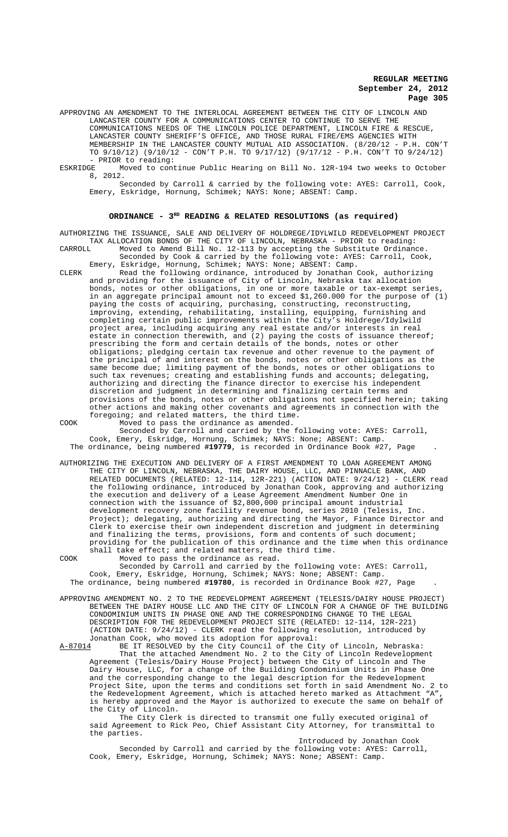APPROVING AN AMENDMENT TO THE INTERLOCAL AGREEMENT BETWEEN THE CITY OF LINCOLN AND LANCASTER COUNTY FOR A COMMUNICATIONS CENTER TO CONTINUE TO SERVE THE COMMUNICATIONS NEEDS OF THE LINCOLN POLICE DEPARTMENT, LINCOLN FIRE & RESCUE, LANCASTER COUNTY SHERIFF'S OFFICE, AND THOSE RURAL FIRE/EMS AGENCIES WITH MEMBERSHIP IN THE LANCASTER COUNTY MUTUAL AID ASSOCIATION. (8/20/12 - P.H. CON'T TO 9/10/12) (9/10/12 - CON'T P.H. TO 9/17/12) (9/17/12 - P.H. CON'T TO 9/24/12) - PRIOR to reading:<br>ESKRIDGE Moved to cont

Moved to continue Public Hearing on Bill No. 12R-194 two weeks to October 8, 2012.

Seconded by Carroll & carried by the following vote: AYES: Carroll, Cook, Emery, Eskridge, Hornung, Schimek; NAYS: None; ABSENT: Camp.

# ORDINANCE -  $3^{RD}$  READING & RELATED RESOLUTIONS (as required)

AUTHORIZING THE ISSUANCE, SALE AND DELIVERY OF HOLDREGE/IDYLWILD REDEVELOPMENT PROJECT TAX ALLOCATION BONDS OF THE CITY OF LINCOLN, NEBRASKA - PRIOR to reading: CARROLL Moved to Amend Bill No. 12-113 by accepting the Substitute Ordinance. Seconded by Cook & carried by the following vote: AYES: Carroll, Cook,

Emery, Eskridge, Hornung, Schimek; NAYS: None; ABSENT: Camp. CLERK Read the following ordinance, introduced by Jonathan Cook, authorizing and providing for the issuance of City of Lincoln, Nebraska tax allocation bonds, notes or other obligations, in one or more taxable or tax-exempt series, in an aggregate principal amount not to exceed \$1,260.000 for the purpose of (1) paying the costs of acquiring, purchasing, constructing, reconstructing,<br>improving, extending, rehabilitating, installing, equipping, furnishing and improving, extending, rehabilitating, installing, equipping, completing certain public improvements within the City's Holdrege/Idylwild project area, including acquiring any real estate and/or interests in real estate in connection therewith, and (2) paying the costs of issuance thereof; prescribing the form and certain details of the bonds, notes or other obligations; pledging certain tax revenue and other revenue to the payment of the principal of and interest on the bonds, notes or other obligations as the same become due; limiting payment of the bonds, notes or other obligations to such tax revenues; creating and establishing funds and accounts; delegating, authorizing and directing the finance director to exercise his independent discretion and judgment in determining and finalizing certain terms and provisions of the bonds, notes or other obligations not specified herein; taking other actions and making other covenants and agreements in connection with the foregoing; and related matters, the third time. COOK Moved to pass the ordinance as amended.

Seconded by Carroll and carried by the following vote: AYES: Carroll, Cook, Emery, Eskridge, Hornung, Schimek; NAYS: None; ABSENT: Camp. The ordinance, being numbered **#19779**, is recorded in Ordinance Book #27, Page .

AUTHORIZING THE EXECUTION AND DELIVERY OF A FIRST AMENDMENT TO LOAN AGREEMENT AMONG THE CITY OF LINCOLN, NEBRASKA, THE DAIRY HOUSE, LLC, AND PINNACLE BANK, AND RELATED DOCUMENTS (RELATED: 12-114, 12R-221) (ACTION DATE: 9/24/12) - CLERK read the following ordinance, introduced by Jonathan Cook, approving and authorizing the execution and delivery of a Lease Agreement Amendment Number One in connection with the issuance of \$2,800,000 principal amount industrial development recovery zone facility revenue bond, series 2010 (Telesis, Inc. Project); delegating, authorizing and directing the Mayor, Finance Director and Clerk to exercise their own independent discretion and judgment in determining and finalizing the terms, provisions, form and contents of such document; providing for the publication of this ordinance and the time when this ordinance shall take effect; and related matters, the third time.

COOK Moved to pass the ordinance as read. Seconded by Carroll and carried by the following vote: AYES: Carroll, Cook, Emery, Eskridge, Hornung, Schimek; NAYS: None; ABSENT: Camp. The ordinance, being numbered **#19780**, is recorded in Ordinance Book #27, Page .

APPROVING AMENDMENT NO. 2 TO THE REDEVELOPMENT AGREEMENT (TELESIS/DAIRY HOUSE PROJECT) BETWEEN THE DAIRY HOUSE LLC AND THE CITY OF LINCOLN FOR A CHANGE OF THE BUILDING CONDOMINIUM UNITS IN PHASE ONE AND THE CORRESPONDING CHANGE TO THE LEGAL DESCRIPTION FOR THE REDEVELOPMENT PROJECT SITE (RELATED: 12-114, 12R-221)

(ACTION DATE: 9/24/12) - CLERK read the following resolution, introduced by Jonathan Cook, who moved its adoption for approval:<br>A-87014 BE IT RESOLVED by the City Council of the Cit

BE IT RESOLVED by the City Council of the City of Lincoln, Nebraska: That the attached Amendment No. 2 to the City of Lincoln Redevelopment Agreement (Telesis/Dairy House Project) between the City of Lincoln and The Dairy House, LLC, for a change of the Building Condominium Units in Phase One and the corresponding change to the legal description for the Redevelopment Project Site, upon the terms and conditions set forth in said Amendment No. 2 to the Redevelopment Agreement, which is attached hereto marked as Attachment "A", is hereby approved and the Mayor is authorized to execute the same on behalf of the City of Lincoln.

The City Clerk is directed to transmit one fully executed original of said Agreement to Rick Peo, Chief Assistant City Attorney, for transmittal to the parties.

Introduced by Jonathan Cook

Seconded by Carroll and carried by the following vote: AYES: Carroll, Cook, Emery, Eskridge, Hornung, Schimek; NAYS: None; ABSENT: Camp.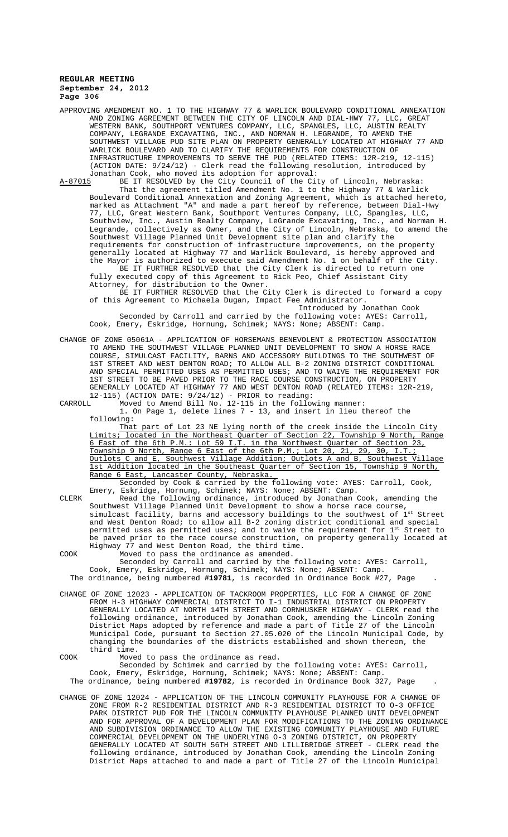APPROVING AMENDMENT NO. 1 TO THE HIGHWAY 77 & WARLICK BOULEVARD CONDITIONAL ANNEXATION AND ZONING AGREEMENT BETWEEN THE CITY OF LINCOLN AND DIAL-HWY 77, LLC, GREAT WESTERN BANK, SOUTHPORT VENTURES COMPANY, LLC, SPANGLES, LLC, AUSTIN REALTY COMPANY, LEGRANDE EXCAVATING, INC., AND NORMAN H. LEGRANDE, TO AMEND THE SOUTHWEST VILLAGE PUD SITE PLAN ON PROPERTY GENERALLY LOCATED AT HIGHWAY 77 AND WARLICK BOULEVARD AND TO CLARIFY THE REQUIREMENTS FOR CONSTRUCTION OF INFRASTRUCTURE IMPROVEMENTS TO SERVE THE PUD (RELATED ITEMS: 12R-219, 12-115) (ACTION DATE: 9/24/12) - Clerk read the following resolution, introduced by Jonathan Cook, who moved its adoption for approval:

A-87015 BE IT RESOLVED by the City Council of the City of Lincoln, Nebraska: That the agreement titled Amendment No. 1 to the Highway 77 & Warlick Boulevard Conditional Annexation and Zoning Agreement, which is attached hereto, marked as Attachment "A" and made a part hereof by reference, between Dial-Hwy 77, LLC, Great Western Bank, Southport Ventures Company, LLC, Spangles, LLC, Southview, Inc., Austin Realty Company, LeGrande Excavating, Inc., and Norman H. Legrande, collectively as Owner, and the City of Lincoln, Nebraska, to amend the Southwest Village Planned Unit Development site plan and clarify the requirements for construction of infrastructure improvements, on the property generally located at Highway 77 and Warlick Boulevard, is hereby approved and the Mayor is authorized to execute said Amendment No. 1 on behalf of the City.

BE IT FURTHER RESOLVED that the City Clerk is directed to return one fully executed copy of this Agreement to Rick Peo, Chief Assistant City Attorney, for distribution to the Owner.

BE IT FURTHER RESOLVED that the City Clerk is directed to forward a copy of this Agreement to Michaela Dugan, Impact Fee Administrator.

Introduced by Jonathan Cook Seconded by Carroll and carried by the following vote: AYES: Carroll, Cook, Emery, Eskridge, Hornung, Schimek; NAYS: None; ABSENT: Camp.

CHANGE OF ZONE 05061A - APPLICATION OF HORSEMANS BENEVOLENT & PROTECTION ASSOCIATION TO AMEND THE SOUTHWEST VILLAGE PLANNED UNIT DEVELOPMENT TO SHOW A HORSE RACE COURSE, SIMULCAST FACILITY, BARNS AND ACCESSORY BUILDINGS TO THE SOUTHWEST OF 1ST STREET AND WEST DENTON ROAD; TO ALLOW ALL B-2 ZONING DISTRICT CONDITIONAL AND SPECIAL PERMITTED USES AS PERMITTED USES; AND TO WAIVE THE REQUIREMENT FOR 1ST STREET TO BE PAVED PRIOR TO THE RACE COURSE CONSTRUCTION, ON PROPERTY GENERALLY LOCATED AT HIGHWAY 77 AND WEST DENTON ROAD (RELATED ITEMS: 12R-219, 12-115) (ACTION DATE:  $9/24/12$ ) - PRIOR to reading:<br>CARROLL Moved to Amend Bill No. 12-115 in the follow

CARROLL Moved to Amend Bill No. 12-115 in the following manner: 1. On Page 1, delete lines 7 - 13, and insert in lieu thereof the following:

That part of Lot 23 NE lying north of the creek inside the Lincoln City Limits; located in the Northeast Quarter of Section 22, Township 9 North, Range 6 East of the 6th P.M.: Lot 59 I.T. in the Northwest Quarter of Section 23, Township 9 North, Range 6 East of the 6th P.M.; Lot 20, 21, 29, 30, I.T.; Outlots C and E, Southwest Village Addition; Outlots A and B, Southwest Village 1st Addition located in the Southeast Quarter of Section 15, Township 9 North, Range 6 East, Lancaster County, Nebraska.

Seconded by Cook & carried by the following vote: AYES: Carroll, Cook, Emery, Eskridge, Hornung, Schimek; NAYS: None; ABSENT: Camp.

CLERK Read the following ordinance, introduced by Jonathan Cook, amending the Southwest Village Planned Unit Development to show a horse race course, simulcast facility, barns and accessory buildings to the southwest of  $1^{\text{st}}$  Street and West Denton Road; to allow all B-2 zoning district conditional and special permitted uses as permitted uses; and to waive the requirement for 1st Street to be paved prior to the race course construction, on property generally located at Highway 77 and West Denton Road, the third time.

COOK Moved to pass the ordinance as amended. Seconded by Carroll and carried by the following vote: AYES: Carroll, Cook, Emery, Eskridge, Hornung, Schimek; NAYS: None; ABSENT: Camp. The ordinance, being numbered **#19781**, is recorded in Ordinance Book #27, Page .

CHANGE OF ZONE 12023 - APPLICATION OF TACKROOM PROPERTIES, LLC FOR A CHANGE OF ZONE FROM H-3 HIGHWAY COMMERCIAL DISTRICT TO I-1 INDUSTRIAL DISTRICT ON PROPERTY GENERALLY LOCATED AT NORTH 14TH STREET AND CORNHUSKER HIGHWAY - CLERK read the following ordinance, introduced by Jonathan Cook, amending the Lincoln Zoning District Maps adopted by reference and made a part of Title 27 of the Lincoln Municipal Code, pursuant to Section 27.05.020 of the Lincoln Municipal Code, by changing the boundaries of the districts established and shown thereon, the third time.

COOK Moved to pass the ordinance as read.

Seconded by Schimek and carried by the following vote: AYES: Carroll, Cook, Emery, Eskridge, Hornung, Schimek; NAYS: None; ABSENT: Camp. The ordinance, being numbered **#19782**, is recorded in Ordinance Book 327, Page .

CHANGE OF ZONE 12024 - APPLICATION OF THE LINCOLN COMMUNITY PLAYHOUSE FOR A CHANGE OF ZONE FROM R-2 RESIDENTIAL DISTRICT AND R-3 RESIDENTIAL DISTRICT TO O-3 OFFICE PARK DISTRICT PUD FOR THE LINCOLN COMMUNITY PLAYHOUSE PLANNED UNIT DEVELOPMENT AND FOR APPROVAL OF A DEVELOPMENT PLAN FOR MODIFICATIONS TO THE ZONING ORDINANCE AND SUBDIVISION ORDINANCE TO ALLOW THE EXISTING COMMUNITY PLAYHOUSE AND FUTURE COMMERCIAL DEVELOPMENT ON THE UNDERLYING O-3 ZONING DISTRICT, ON PROPERTY GENERALLY LOCATED AT SOUTH 56TH STREET AND LILLIBRIDGE STREET - CLERK read the following ordinance, introduced by Jonathan Cook, amending the Lincoln Zoning District Maps attached to and made a part of Title 27 of the Lincoln Municipal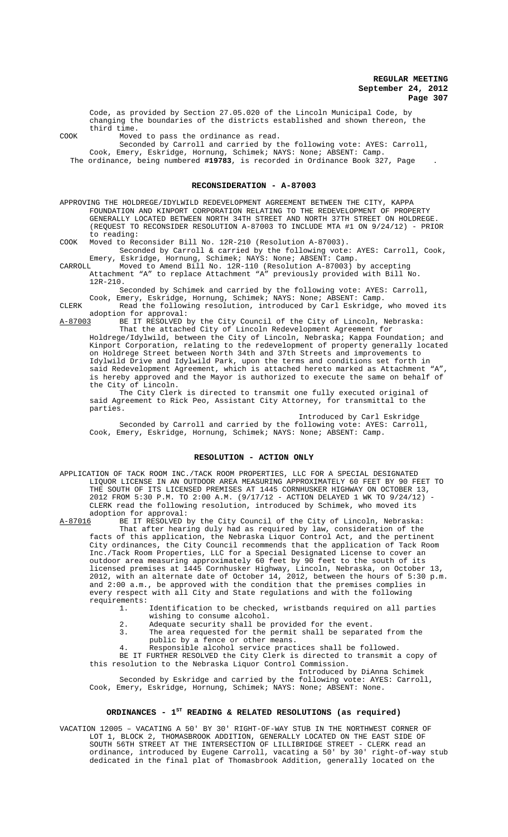Code, as provided by Section 27.05.020 of the Lincoln Municipal Code, by changing the boundaries of the districts established and shown thereon, the third time.

COOK Moved to pass the ordinance as read.

Seconded by Carroll and carried by the following vote: AYES: Carroll, Cook, Emery, Eskridge, Hornung, Schimek; NAYS: None; ABSENT: Camp.

The ordinance, being numbered **#19783**, is recorded in Ordinance Book 327, Page .

#### **RECONSIDERATION - A-87003**

APPROVING THE HOLDREGE/IDYLWILD REDEVELOPMENT AGREEMENT BETWEEN THE CITY, FOUNDATION AND KINPORT CORPORATION RELATING TO THE REDEVELOPMENT OF PROPERTY GENERALLY LOCATED BETWEEN NORTH 34TH STREET AND NORTH 37TH STREET ON HOLDREGE. (REQUEST TO RECONSIDER RESOLUTION A-87003 TO INCLUDE MTA #1 ON 9/24/12) - PRIOR to reading:

COOK Moved to Reconsider Bill No. 12R-210 (Resolution A-87003). Seconded by Carroll & carried by the following vote: AYES: Carroll, Cook,

Emery, Eskridge, Hornung, Schimek; NAYS: None; ABSENT: Camp. CARROLL Moved to Amend Bill No. 12R-110 (Resolution A-87003) by accepting Attachment "A" to replace Attachment "A" previously provided with Bill No. 12R-210.

Seconded by Schimek and carried by the following vote: AYES: Carroll,

Cook, Emery, Eskridge, Hornung, Schimek; NAYS: None; ABSENT: Camp.

CLERK Read the following resolution, introduced by Carl Eskridge, who moved its adoption for approval:

A-87003 BE IT RESOLVED by the City Council of the City of Lincoln, Nebraska: That the attached City of Lincoln Redevelopment Agreement for

Holdrege/Idylwild, between the City of Lincoln, Nebraska; Kappa Foundation; and Kinport Corporation, relating to the redevelopment of property generally located on Holdrege Street between North 34th and 37th Streets and improvements to Idylwild Drive and Idylwild Park, upon the terms and conditions set forth in said Redevelopment Agreement, which is attached hereto marked as Attachment "A", is hereby approved and the Mayor is authorized to execute the same on behalf of the City of Lincoln.

The City Clerk is directed to transmit one fully executed original of said Agreement to Rick Peo, Assistant City Attorney, for transmittal to the parties.

Introduced by Carl Eskridge Seconded by Carroll and carried by the following vote: AYES: Carroll, Cook, Emery, Eskridge, Hornung, Schimek; NAYS: None; ABSENT: Camp.

## **RESOLUTION - ACTION ONLY**

APPLICATION OF TACK ROOM INC./TACK ROOM PROPERTIES, LLC FOR A SPECIAL DESIGNATED LIQUOR LICENSE IN AN OUTDOOR AREA MEASURING APPROXIMATELY 60 FEET BY 90 FEET TO THE SOUTH OF ITS LICENSED PREMISES AT 1445 CORNHUSKER HIGHWAY ON OCTOBER 13, 2012 FROM 5:30 P.M. TO 2:00 A.M. (9/17/12 - ACTION DELAYED 1 WK TO 9/24/12) - CLERK read the following resolution, introduced by Schimek, who moved its adoption for approval:<br>A-87016 BE IT RESOLVED k

BE IT RESOLVED by the City Council of the City of Lincoln, Nebraska: That after hearing duly had as required by law, consideration of the facts of this application, the Nebraska Liquor Control Act, and the pertinent City ordinances, the City Council recommends that the application of Tack Room Inc./Tack Room Properties, LLC for a Special Designated License to cover an outdoor area measuring approximately 60 feet by 90 feet to the south of its licensed premises at 1445 Cornhusker Highway, Lincoln, Nebraska, on October 13, 2012, with an alternate date of October 14, 2012, between the hours of 5:30 p.m. and 2:00 a.m., be approved with the condition that the premises complies in every respect with all City and State regulations and with the following requirements:

Identification to be checked, wristbands required on all parties

- wishing to consume alcohol.
- 2. Adequate security shall be provided for the event.<br>The area requested for the permit shall be separat The area requested for the permit shall be separated from the
- public by a fence or other means.
- 4. Responsible alcohol service practices shall be followed.

BE IT FURTHER RESOLVED the City Clerk is directed to transmit a copy of this resolution to the Nebraska Liquor Control Commission.

Introduced by DiAnna Schimek Seconded by Eskridge and carried by the following vote: AYES: Carroll, Cook, Emery, Eskridge, Hornung, Schimek; NAYS: None; ABSENT: None.

## ORDINANCES - 1<sup>st</sup> READING & RELATED RESOLUTIONS (as required)

VACATION 12005 – VACATING A 50' BY 30' RIGHT-OF-WAY STUB IN THE NORTHWEST CORNER OF LOT 1, BLOCK 2, THOMASBROOK ADDITION, GENERALLY LOCATED ON THE EAST SIDE OF SOUTH 56TH STREET AT THE INTERSECTION OF LILLIBRIDGE STREET - CLERK read an ordinance, introduced by Eugene Carroll, vacating a 50' by 30' right-of-way stub dedicated in the final plat of Thomasbrook Addition, generally located on the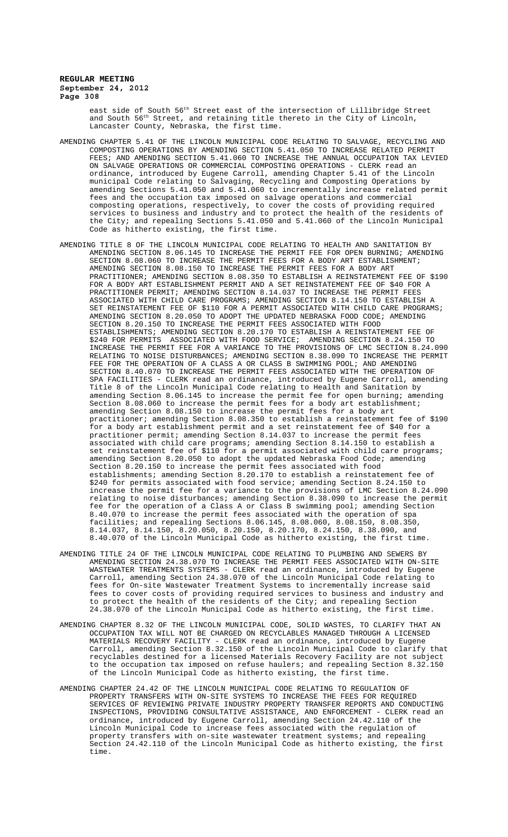east side of South 56<sup>th</sup> Street east of the intersection of Lillibridge Street and South 56<sup>th</sup> Street, and retaining title thereto in the City of Lincoln, Lancaster County, Nebraska, the first time.

- AMENDING CHAPTER 5.41 OF THE LINCOLN MUNICIPAL CODE RELATING TO SALVAGE, RECYCLING AND COMPOSTING OPERATIONS BY AMENDING SECTION 5.41.050 TO INCREASE RELATED PERMIT FEES; AND AMENDING SECTION 5.41.060 TO INCREASE THE ANNUAL OCCUPATION TAX LEVIED ON SALVAGE OPERATIONS OR COMMERCIAL COMPOSTING OPERATIONS - CLERK read an ordinance, introduced by Eugene Carroll, amending Chapter 5.41 of the Lincoln municipal Code relating to Salvaging, Recycling and Composting Operations by amending Sections 5.41.050 and 5.41.060 to incrementally increase related permit fees and the occupation tax imposed on salvage operations and commercial composting operations, respectively, to cover the costs of providing required services to business and industry and to protect the health of the residents of the City; and repealing Sections 5.41.050 and 5.41.060 of the Lincoln Municipal Code as hitherto existing, the first time.
- AMENDING TITLE 8 OF THE LINCOLN MUNICIPAL CODE RELATING TO HEALTH AND SANITATION BY AMENDING SECTION 8.06.145 TO INCREASE THE PERMIT FEE FOR OPEN BURNING; AMENDING SECTION 8.08.060 TO INCREASE THE PERMIT FEES FOR A BODY ART ESTABLISHMENT; AMENDING SECTION 8.08.150 TO INCREASE THE PERMIT FEES FOR A BODY ART PRACTITIONER; AMENDING SECTION 8.08.350 TO ESTABLISH A REINSTATEMENT FEE OF \$190 FOR A BODY ART ESTABLISHMENT PERMIT AND A SET REINSTATEMENT FEE OF \$40 FOR A PRACTITIONER PERMIT; AMENDING SECTION 8.14.037 TO INCREASE THE PERMIT FEES ASSOCIATED WITH CHILD CARE PROGRAMS; AMENDING SECTION 8.14.150 TO ESTABLISH A SET REINSTATEMENT FEE OF \$110 FOR A PERMIT ASSOCIATED WITH CHILD CARE PROGRAMS; AMENDING SECTION 8.20.050 TO ADOPT THE UPDATED NEBRASKA FOOD CODE; AMENDING SECTION 8.20.150 TO INCREASE THE PERMIT FEES ASSOCIATED WITH FOOD ESTABLISHMENTS; AMENDING SECTION 8.20.170 TO ESTABLISH A REINSTATEMENT FEE OF \$240 FOR PERMITS ASSOCIATED WITH FOOD SERVICE; AMENDING SECTION 8.24.150 TO INCREASE THE PERMIT FEE FOR A VARIANCE TO THE PROVISIONS OF LMC SECTION 8.24.090 RELATING TO NOISE DISTURBANCES; AMENDING SECTION 8.38.090 TO INCREASE THE PERMIT FEE FOR THE OPERATION OF A CLASS A OR CLASS B SWIMMING POOL; AND AMENDING SECTION 8.40.070 TO INCREASE THE PERMIT FEES ASSOCIATED WITH THE OPERATION OF SPA FACILITIES - CLERK read an ordinance, introduced by Eugene Carroll, amending Title 8 of the Lincoln Municipal Code relating to Health and Sanitation by amending Section 8.06.145 to increase the permit fee for open burning; amending Section 8.08.060 to increase the permit fees for a body art establishment; amending Section 8.08.150 to increase the permit fees for a body art practitioner; amending Section 8.08.350 to establish a reinstatement fee of \$190 for a body art establishment permit and a set reinstatement fee of \$40 for a practitioner permit; amending Section 8.14.037 to increase the permit fees associated with child care programs; amending Section 8.14.150 to establish a set reinstatement fee of \$110 for a permit associated with child care programs; amending Section 8.20.050 to adopt the updated Nebraska Food Code; amending Section 8.20.150 to increase the permit fees associated with food establishments; amending Section 8.20.170 to establish a reinstatement fee of \$240 for permits associated with food service; amending Section 8.24.150 to increase the permit fee for a variance to the provisions of LMC Section 8.24.090 relating to noise disturbances; amending Section 8.38.090 to increase the permit fee for the operation of a Class A or Class B swimming pool; amending Section 8.40.070 to increase the permit fees associated with the operation of spa facilities; and repealing Sections 8.06.145, 8.08.060, 8.08.150, 8.08.350, 8.14.037, 8.14.150, 8.20.050, 8.20.150, 8.20.170, 8.24.150, 8.38.090, and 8.40.070 of the Lincoln Municipal Code as hitherto existing, the first time.
- AMENDING TITLE 24 OF THE LINCOLN MUNICIPAL CODE RELATING TO PLUMBING AND SEWERS BY AMENDING SECTION 24.38.070 TO INCREASE THE PERMIT FEES ASSOCIATED WITH ON-SITE WASTEWATER TREATMENTS SYSTEMS - CLERK read an ordinance, introduced by Eugene Carroll, amending Section 24.38.070 of the Lincoln Municipal Code relating to fees for On-site Wastewater Treatment Systems to incrementally increase said fees to cover costs of providing required services to business and industry and to protect the health of the residents of the City; and repealing Section 24.38.070 of the Lincoln Municipal Code as hitherto existing, the first time.
- AMENDING CHAPTER 8.32 OF THE LINCOLN MUNICIPAL CODE, SOLID WASTES, TO CLARIFY THAT AN OCCUPATION TAX WILL NOT BE CHARGED ON RECYCLABLES MANAGED THROUGH A LICENSED MATERIALS RECOVERY FACILITY - CLERK read an ordinance, introduced by Eugene Carroll, amending Section 8.32.150 of the Lincoln Municipal Code to clarify that recyclables destined for a licensed Materials Recovery Facility are not subject to the occupation tax imposed on refuse haulers; and repealing Section 8.32.150 of the Lincoln Municipal Code as hitherto existing, the first time.
- AMENDING CHAPTER 24.42 OF THE LINCOLN MUNICIPAL CODE RELATING TO REGULATION OF PROPERTY TRANSFERS WITH ON-SITE SYSTEMS TO INCREASE THE FEES FOR REQUIRED SERVICES OF REVIEWING PRIVATE INDUSTRY PROPERTY TRANSFER REPORTS AND CONDUCTING INSPECTIONS, PROVIDING CONSULTATIVE ASSISTANCE, AND ENFORCEMENT - CLERK read an ordinance, introduced by Eugene Carroll, amending Section 24.42.110 of the Lincoln Municipal Code to increase fees associated with the regulation of property transfers with on-site wastewater treatment systems; and repealing Section 24.42.110 of the Lincoln Municipal Code as hitherto existing, the first time.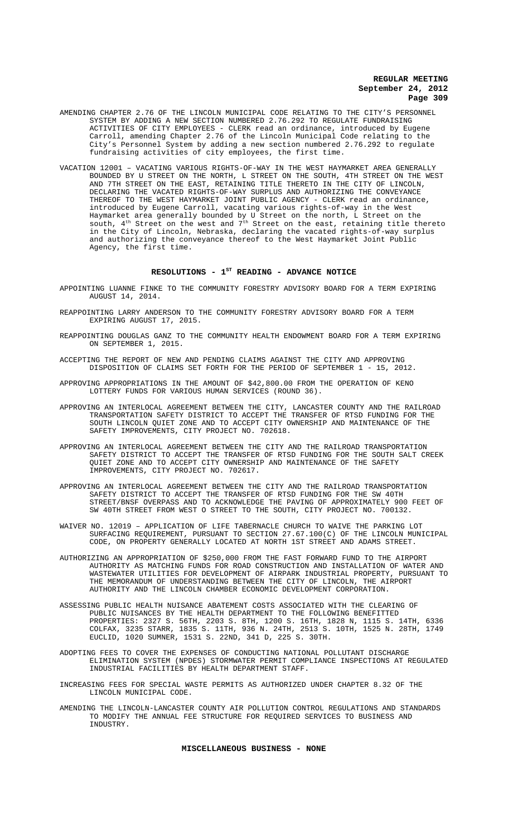- AMENDING CHAPTER 2.76 OF THE LINCOLN MUNICIPAL CODE RELATING TO THE CITY'S PERSONNEL SYSTEM BY ADDING A NEW SECTION NUMBERED 2.76.292 TO REGULATE FUNDRAISING ACTIVITIES OF CITY EMPLOYEES - CLERK read an ordinance, introduced by Eugene Carroll, amending Chapter 2.76 of the Lincoln Municipal Code relating to the City's Personnel System by adding a new section numbered 2.76.292 to regulate fundraising activities of city employees, the first time.
- VACATION 12001 VACATING VARIOUS RIGHTS-OF-WAY IN THE WEST HAYMARKET AREA GENERALLY BOUNDED BY U STREET ON THE NORTH, L STREET ON THE SOUTH, 4TH STREET ON THE WEST AND 7TH STREET ON THE EAST, RETAINING TITLE THERETO IN THE CITY OF LINCOLN, DECLARING THE VACATED RIGHTS-OF-WAY SURPLUS AND AUTHORIZING THE CONVEYANCE THEREOF TO THE WEST HAYMARKET JOINT PUBLIC AGENCY - CLERK read an ordinance, introduced by Eugene Carroll, vacating various rights-of-way in the West Haymarket area generally bounded by U Street on the north, L Street on the south,  $4^{\text{th}}$  Street on the west and  $7^{\text{th}}$  Street on the east, retaining title thereto in the City of Lincoln, Nebraska, declaring the vacated rights-of-way surplus and authorizing the conveyance thereof to the West Haymarket Joint Public Agency, the first time.

#### RESOLUTIONS - 1<sup>st</sup> READING - ADVANCE NOTICE

- APPOINTING LUANNE FINKE TO THE COMMUNITY FORESTRY ADVISORY BOARD FOR A TERM EXPIRING AUGUST 14, 2014.
- REAPPOINTING LARRY ANDERSON TO THE COMMUNITY FORESTRY ADVISORY BOARD FOR A TERM EXPIRING AUGUST 17, 2015.
- REAPPOINTING DOUGLAS GANZ TO THE COMMUNITY HEALTH ENDOWMENT BOARD FOR A TERM EXPIRING ON SEPTEMBER 1, 2015.
- ACCEPTING THE REPORT OF NEW AND PENDING CLAIMS AGAINST THE CITY AND APPROVING DISPOSITION OF CLAIMS SET FORTH FOR THE PERIOD OF SEPTEMBER 1 - 15, 2012.
- APPROVING APPROPRIATIONS IN THE AMOUNT OF \$42,800.00 FROM THE OPERATION OF KENO LOTTERY FUNDS FOR VARIOUS HUMAN SERVICES (ROUND 36).
- APPROVING AN INTERLOCAL AGREEMENT BETWEEN THE CITY, LANCASTER COUNTY AND THE RAILROAD TRANSPORTATION SAFETY DISTRICT TO ACCEPT THE TRANSFER OF RTSD FUNDING FOR THE SOUTH LINCOLN QUIET ZONE AND TO ACCEPT CITY OWNERSHIP AND MAINTENANCE OF THE SAFETY IMPROVEMENTS, CITY PROJECT NO. 702618.
- APPROVING AN INTERLOCAL AGREEMENT BETWEEN THE CITY AND THE RAILROAD TRANSPORTATION SAFETY DISTRICT TO ACCEPT THE TRANSFER OF RTSD FUNDING FOR THE SOUTH SALT CREEK QUIET ZONE AND TO ACCEPT CITY OWNERSHIP AND MAINTENANCE OF THE SAFETY IMPROVEMENTS, CITY PROJECT NO. 702617.
- APPROVING AN INTERLOCAL AGREEMENT BETWEEN THE CITY AND THE RAILROAD TRANSPORTATION SAFETY DISTRICT TO ACCEPT THE TRANSFER OF RTSD FUNDING FOR THE SW 40TH STREET/BNSF OVERPASS AND TO ACKNOWLEDGE THE PAVING OF APPROXIMATELY 900 FEET OF SW 40TH STREET FROM WEST O STREET TO THE SOUTH, CITY PROJECT NO. 700132.
- WAIVER NO. 12019 APPLICATION OF LIFE TABERNACLE CHURCH TO WAIVE THE PARKING LOT SURFACING REQUIREMENT, PURSUANT TO SECTION 27.67.100(C) OF THE LINCOLN MUNICIPAL CODE, ON PROPERTY GENERALLY LOCATED AT NORTH 1ST STREET AND ADAMS STREET.
- AUTHORIZING AN APPROPRIATION OF \$250,000 FROM THE FAST FORWARD FUND TO THE AIRPORT AUTHORITY AS MATCHING FUNDS FOR ROAD CONSTRUCTION AND INSTALLATION OF WATER AND WASTEWATER UTILITIES FOR DEVELOPMENT OF AIRPARK INDUSTRIAL PROPERTY, PURSUANT TO THE MEMORANDUM OF UNDERSTANDING BETWEEN THE CITY OF LINCOLN, THE AIRPORT AUTHORITY AND THE LINCOLN CHAMBER ECONOMIC DEVELOPMENT CORPORATION.
- ASSESSING PUBLIC HEALTH NUISANCE ABATEMENT COSTS ASSOCIATED WITH THE CLEARING OF PUBLIC NUISANCES BY THE HEALTH DEPARTMENT TO THE FOLLOWING BENEFITTED PROPERTIES: 2327 S. 56TH, 2203 S. 8TH, 1200 S. 16TH, 1828 N, 1115 S. 14TH, 6336 COLFAX, 3235 STARR, 1835 S. 11TH, 936 N. 24TH, 2513 S. 10TH, 1525 N. 28TH, 1749 EUCLID, 1020 SUMNER, 1531 S. 22ND, 341 D, 225 S. 30TH.
- ADOPTING FEES TO COVER THE EXPENSES OF CONDUCTING NATIONAL POLLUTANT DISCHARGE ELIMINATION SYSTEM (NPDES) STORMWATER PERMIT COMPLIANCE INSPECTIONS AT REGULATED INDUSTRIAL FACILITIES BY HEALTH DEPARTMENT STAFF.
- INCREASING FEES FOR SPECIAL WASTE PERMITS AS AUTHORIZED UNDER CHAPTER 8.32 OF THE LINCOLN MUNICIPAL CODE.
- AMENDING THE LINCOLN-LANCASTER COUNTY AIR POLLUTION CONTROL REGULATIONS AND STANDARDS TO MODIFY THE ANNUAL FEE STRUCTURE FOR REQUIRED SERVICES TO BUSINESS AND INDUSTRY.

## **MISCELLANEOUS BUSINESS - NONE**